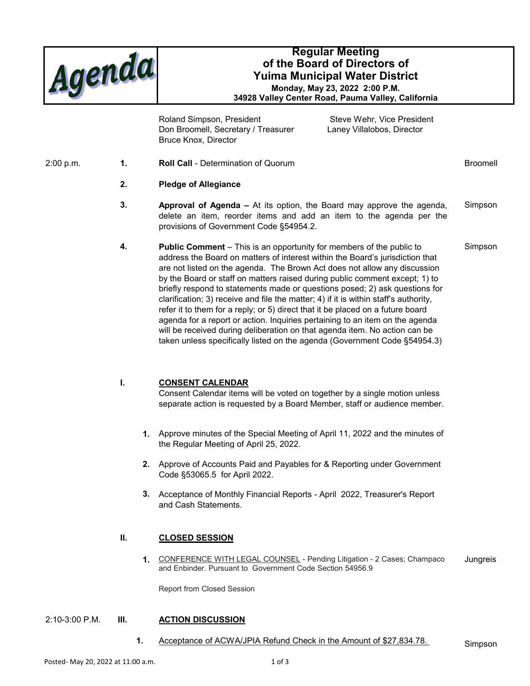

# **Regular Meeting of the Board of Directors of Yuima Municipal Water District Monday, May 23, 2022 2:00 P.M.**

**34928 Valley Center Road, Pauma Valley, California**

Roland Simpson, President Steve Wehr, Vice President Don Broomell, Secretary / Treasurer Laney Villalobos, Director Bruce Knox, Director

2:00 p.m. **1. Roll Call** - Determination of Quorum **1.** Broomell

## **2. Pledge of Allegiance**

- **3.** Approval of Agenda At its option, the Board may approve the agenda, Simpson delete an item, reorder items and add an item to the agenda per the provisions of Government Code §54954.2.
- **4.** Public Comment This is an opportunity for members of the public to Simpson address the Board on matters of interest within the Board's jurisdiction that are not listed on the agenda. The Brown Act does not allow any discussion by the Board or staff on matters raised during public comment except; 1) to briefly respond to statements made or questions posed; 2) ask questions for clarification; 3) receive and file the matter; 4) if it is within staff's authority, refer it to them for a reply; or 5) direct that it be placed on a future board agenda for a report or action. Inquiries pertaining to an item on the agenda will be received during deliberation on that agenda item. No action can be taken unless specifically listed on the agenda (Government Code §54954.3)

# **I. CONSENT CALENDAR**

Consent Calendar items will be voted on together by a single motion unless separate action is requested by a Board Member, staff or audience member.

- **1.** Approve minutes of the Special Meeting of April 11, 2022 and the minutes of the Regular Meeting of April 25, 2022.
- **2.** Approve of Accounts Paid and Payables for & Reporting under Government Code §53065.5 for April 2022.
- **3.** Acceptance of Monthly Financial Reports April 2022, Treasurer's Report and Cash Statements.

# **II. CLOSED SESSION**

**1.** CONFERENCE WITH LEGAL COUNSEL - Pending Litigation - 2 Cases; Champaco and Enbinder. Pursuant to Government Code Section 54956.9 **Jungreis** 

Report from Closed Session

### 2:10-3:00 P.M. **III. ACTION DISCUSSION**

**1.** Acceptance of ACWA/JPIA Refund Check in the Amount of \$27,834.78. Simpson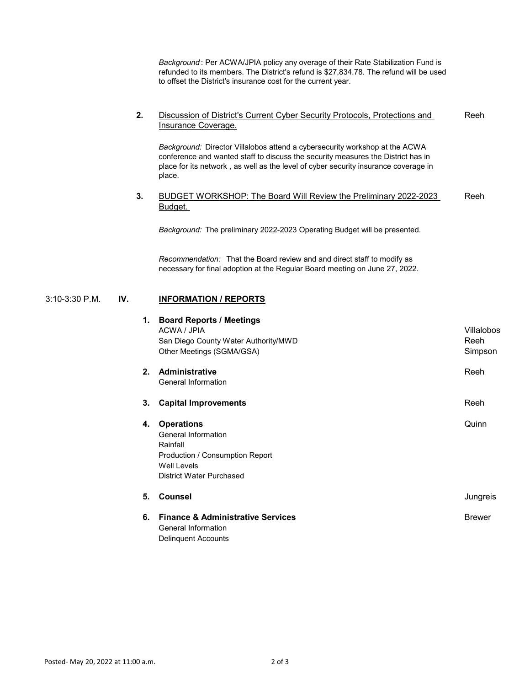*Background* : Per ACWA/JPIA policy any overage of their Rate Stabilization Fund is refunded to its members. The District's refund is \$27,834.78. The refund will be used to offset the District's insurance cost for the current year.

#### **2.** Discussion of District's Current Cyber Security Protocols, Protections and Insurance Coverage. Reeh

*Background:* Director Villalobos attend a cybersecurity workshop at the ACWA conference and wanted staff to discuss the security measures the District has in place for its network , as well as the level of cyber security insurance coverage in place.

#### **3.** BUDGET WORKSHOP: The Board Will Review the Preliminary 2022-2023 Budget. Reeh

*Background:* The preliminary 2022-2023 Operating Budget will be presented.

*Recommendation:* That the Board review and and direct staff to modify as necessary for final adoption at the Regular Board meeting on June 27, 2022.

## 3:10-3:30 P.M. **IV. INFORMATION / REPORTS**

| 1.   | <b>Board Reports / Meetings</b><br>ACWA / JPIA<br>San Diego County Water Authority/MWD | <b>Villalobos</b><br>Reeh |
|------|----------------------------------------------------------------------------------------|---------------------------|
|      | Other Meetings (SGMA/GSA)                                                              | Simpson                   |
| $2-$ | <b>Administrative</b>                                                                  | Reeh                      |
|      | <b>General Information</b>                                                             |                           |
| 3.   | <b>Capital Improvements</b>                                                            | Reeh                      |
| 4.   | <b>Operations</b>                                                                      | Quinn                     |
|      | <b>General Information</b>                                                             |                           |
|      | Rainfall                                                                               |                           |
|      | Production / Consumption Report                                                        |                           |
|      | <b>Well Levels</b>                                                                     |                           |
|      | <b>District Water Purchased</b>                                                        |                           |
| 5.   | <b>Counsel</b>                                                                         | Jungreis                  |
| 6.   | <b>Finance &amp; Administrative Services</b>                                           | <b>Brewer</b>             |
|      | <b>General Information</b>                                                             |                           |
|      | <b>Delinquent Accounts</b>                                                             |                           |